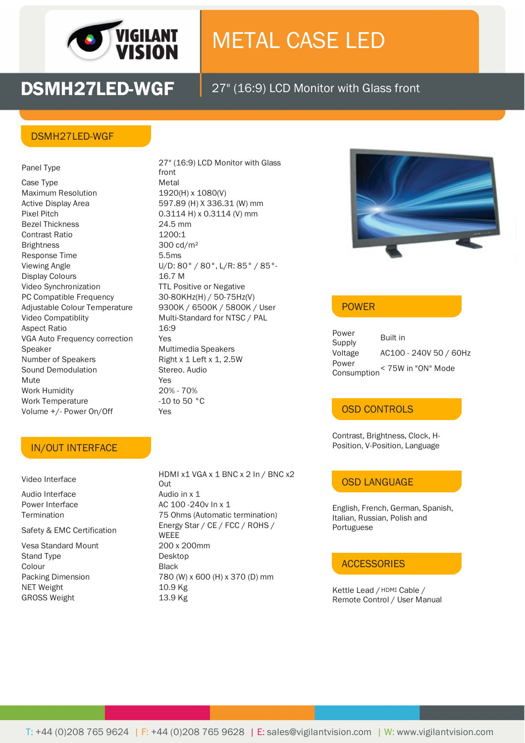

# METAL CASE LED

**DSMH27LED-WGF** 27" (16:9) LCD Monitor with Glass front

### DSMH27LED-WGF

Panel Type Case Type **Metal** Maximum Resolution 1920(H) x 1080(V) Active Display Area 597.89 (H) X 336.31 (W) mm Pixel Pitch 0.3114 H) x 0.3114 (V) mm Bezel Thickness 24.5 mm Contrast Ratio 1200:1 Brightness 300 cd/m<sup>2</sup> Response Time 5.5ms Display Colours 16.7 M Video Synchronization TTL Positive or Negative PC Compatible Frequency 30-80KHz(H) / 50-75Hz(V) Video Compatiblity Multi-Standard for NTSC / PAL Aspect Ratio 16:9 VGA Auto Frequency correction Yes Speaker Multimedia Speakers Number of Speakers Right x 1 Left x 1, 2.5W Sound Demodulation Stereo. Audio Mute **Yes** Work Humidity 20% - 70% Work Temperature -10 to 50 °C Volume +/- Power On/Off Yes

27" (16:9) LCD Monitor with Glass front Viewing Angle U/D: 80° / 80°, L/R: 85° / 85°- Adjustable Colour Temperature 9300K / 6500K / 5800K / User



## POWER

| Power                             | Built in               |
|-----------------------------------|------------------------|
| Supply                            |                        |
| Voltage                           | AC100 - 240V 50 / 60Hz |
| Power                             |                        |
| < 75W in "ON" Mode<br>Consumption |                        |

#### OSD CONTROLS

Contrast, Brightness, Clock, H- Position, V-Position, Language

# OSD LANGUAGE

English, French, German, Spanish, Italian, Russian, Polish and Portuguese

#### **ACCESSORIES**

Kettle Lead / HDMI Cable / Remote Control / User Manual

#### IN/OUT INTERFACE

Video Interface

Audio Interface Audio in x 1

Safety & EMC Certification

Stand Type Desktop Colour Black NET Weight 10.9 Kg GROSS Weight 13.9 Kg

HDMI x1 VGA x 1 BNC x 2 In / BNC x2 Out Power Interface AC 100 -240v In x 1 Termination 75 Ohms (Automatic termination) Energy Star / CE / FCC / ROHS / WEEE Vesa Standard Mount 200 x 200mm Packing Dimension 780 (W) x 600 (H) x 370 (D) mm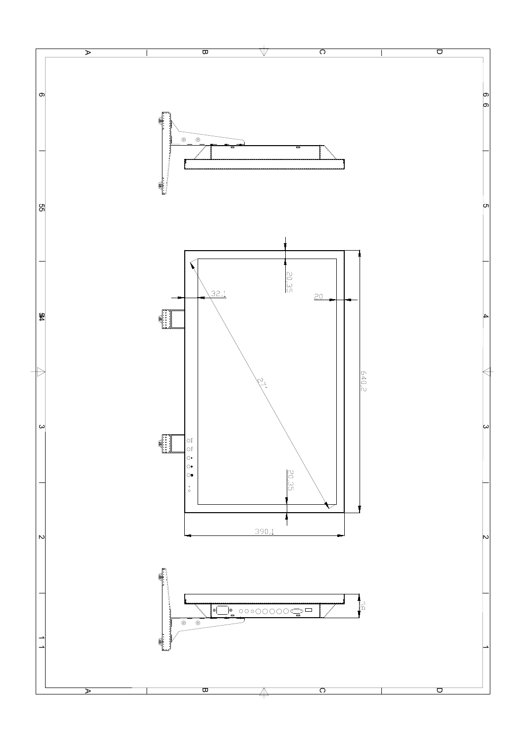